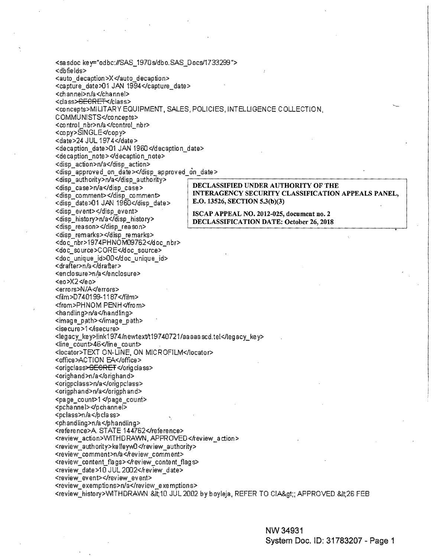<sasdoc key="odbc:#SAS\_1970s/dbo.SAS\_Docs/1733299"> <dbfields> <auto\_decaption>X</auto\_decaption> <capture\_date>01 JAN 1994</capture\_date> <channel>n/a</channel> <class><del>SECRET</del></class> <concepts>MILITARY EQUIPMENT, SALES, POLICIES, INTELLIGENCE COLLECTION, COMMUNISTS</concepts> <control\_nbr>n/a</control\_nbr> <copy>SINGLE</copy> <date>24 JUL 1974</date> <decaption date>01 JAN 1960</decaption date> <decaption note></decaption note> <disp action>n/a</disp action> <disp approved on date></disp approved on date> <disp\_authority>n/a</disp\_authority> DECLASSIFIED UNDER AUTHORITY OF THE <disp case>n/a</disp case> INTERAGENCY SECURITY CLASSIFICATION APPEALS PANEL, <disp comment></disp comment> E.O. 13526, SECTION 5.3(b)(3) <disp\_date>01 JAN 1960</disp\_date> <disp event></disp event> ISCAP APPEAL NO. 2012-025, document no. 2 <disp\_history>n/a</disp\_history> DECLASSIFICATION DATE: October 26, 2018 <disp reason></disp reason> <disp\_remarks></disp\_remarks> <doc\_nbr>1974PHNOM09762</doc\_nbr> <doc\_source>CORE</doc\_source> <doc unique id>00</doc unique id> <drafter>n/a</drafter> <enclosure>n/a</enclosure> <eo>X2≺eo> <errors>N/A</errors> <film>D740199-1187</film> <from>PHNOM PENH</from> <handling>n/a</handling> <image\_path></image\_path> <isecure>1</isecure> <legacγ key>link1974/newtext/t19740721/aaaaascd.tel</legacγ key> <line\_count>46</line\_count> <locator>TEXT ON-LINE, ON MICROFILM</locator> <office>ACTION EA</office> <origclass><del>SECRET</del></origclass> <orighand>n/a</orighand> <origpclass>n/a</origpclass> <origphand>n/a</origphand> <page\_count>1</page\_count> <pchannel></pchannel> <pclass>n/a</pclass> <phandling>n/a</phandling> <reference>A. STATE 144762</reference> <review\_action>WITHDRAWN, APPROVED</review\_action> <review authority>kelleyw0</review authority> <review\_comment>n/a</review\_comment> <review\_content\_flags></review\_content\_flags> <review date>10 JUL 2002</review date> <review event></review event> <review exemptions>n/a</review exemptions> <review\_history>WITHDRAWN\_&it;10\_JUL 2002 by boyleja, REFER TO CIA&gt;; APPROVED &It;26 FEB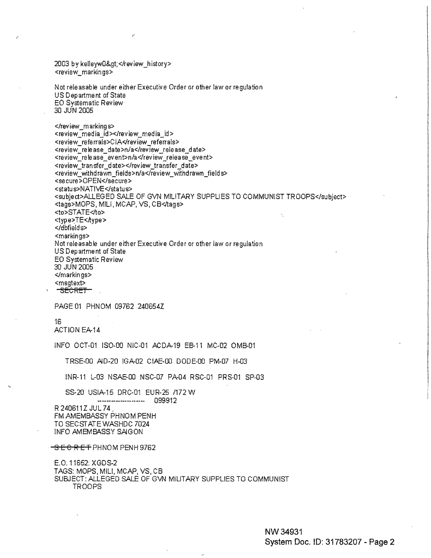2003 by kelleyw0></review\_history> <review\_markings>

Not releasable under either Executive Order or other law or regulation US Department of State **EO Systematic Review** 30 JUN 2005

</review\_markings> <review\_media\_id></review\_media\_id> <review\_referrals>CIA</review\_referrals> <review\_release\_date>n/a</review\_release\_date> <review\_release\_event>n/a</review\_release\_event> <review transfer\_date></review\_transfer\_date> <review\_withdrawn\_fields>n/a</review\_withdrawn\_fields> <secure>OPEN</secure> <status>NATIVE</status> <subject>ALLEGED SALE OF GVN MILITARY SUPPLIES TO COMMUNIST TROOPS</subject> <tags>MOPS, MILI, MCAP, VS, CB</tags> <to>STATE</to> <type>TE<Aype> </dbfields> <markings> Not releasable under either Executive Order or other law or regulation US Department of State EO Systematic Review 30 JUN 2005 </markings> <msgtext> -SECRET-

PAGE 01 PHNOM 09762 240654Z

16

ACTION EA-14

INFO OCT-01 ISO-00 NIC-01 ACDA-19 EB-11 MC-02 OMB-01

TRSE-00 AID-20 IGA-02 CIAE-00 DODE-00 PM-07 H-03

INR-11 L-03 NSAE-00 NSC-07 PA-04 RSC-01 PRS-01 SP-03

SS-20 USIA-15 DRC-01 EUR-25 /172 W 

R 240611Z JUL 74 FM AMEMBASSY PHNOM PENH TO SECSTATE WASHDC 7024 **INFO AMEMBASSY SAIGON** 

<del>SECRET</del> PHNOM PENH 9762

E.O. 11652: XGDS-2 TAGS: MOPS, MILI, MCAP, VS, CB SUBJECT: ALLEGED SALE OF GVN MILITARY SUPPLIES TO COMMUNIST **TROOPS**